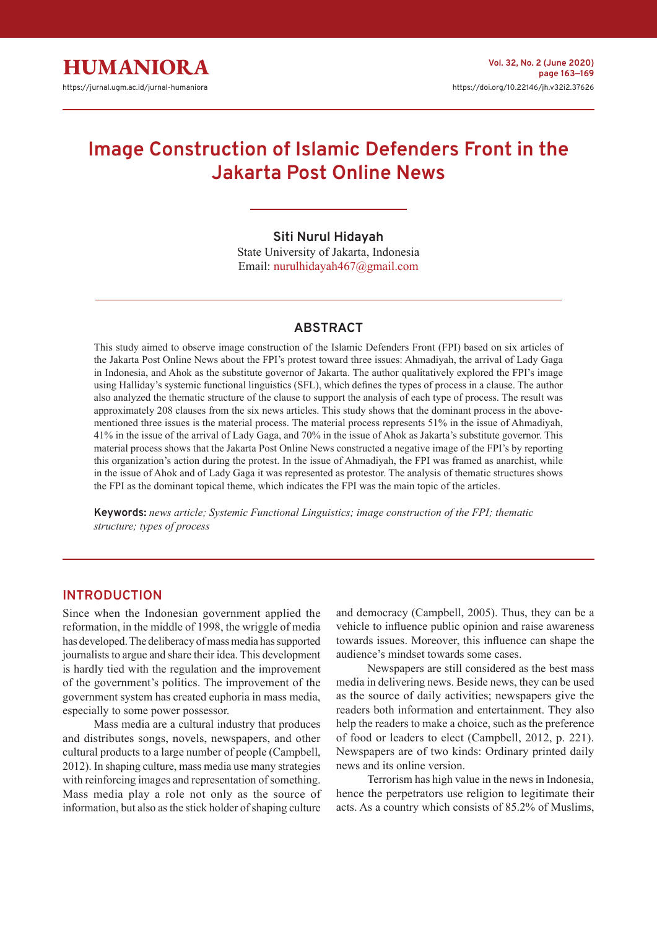# **Image Construction of Islamic Defenders Front in the Jakarta Post Online News**

### **Siti Nurul Hidayah**

State University of Jakarta, Indonesia Email: nurulhidayah467@gmail.com

### **ABSTRACT**

This study aimed to observe image construction of the Islamic Defenders Front (FPI) based on six articles of the Jakarta Post Online News about the FPI's protest toward three issues: Ahmadiyah, the arrival of Lady Gaga in Indonesia, and Ahok as the substitute governor of Jakarta. The author qualitatively explored the FPI's image using Halliday's systemic functional linguistics (SFL), which defines the types of process in a clause. The author also analyzed the thematic structure of the clause to support the analysis of each type of process. The result was approximately 208 clauses from the six news articles. This study shows that the dominant process in the abovementioned three issues is the material process. The material process represents 51% in the issue of Ahmadiyah, 41% in the issue of the arrival of Lady Gaga, and 70% in the issue of Ahok as Jakarta's substitute governor. This material process shows that the Jakarta Post Online News constructed a negative image of the FPI's by reporting this organization's action during the protest. In the issue of Ahmadiyah, the FPI was framed as anarchist, while in the issue of Ahok and of Lady Gaga it was represented as protestor. The analysis of thematic structures shows the FPI as the dominant topical theme, which indicates the FPI was the main topic of the articles.

**Keywords:** *news article; Systemic Functional Linguistics; image construction of the FPI; thematic structure; types of process*

## **INTRODUCTION**

Since when the Indonesian government applied the reformation, in the middle of 1998, the wriggle of media has developed. The deliberacy of mass media has supported journalists to argue and share their idea. This development is hardly tied with the regulation and the improvement of the government's politics. The improvement of the government system has created euphoria in mass media, especially to some power possessor.

Mass media are a cultural industry that produces and distributes songs, novels, newspapers, and other cultural products to a large number of people (Campbell, 2012). In shaping culture, mass media use many strategies with reinforcing images and representation of something. Mass media play a role not only as the source of information, but also as the stick holder of shaping culture

and democracy (Campbell, 2005). Thus, they can be a vehicle to influence public opinion and raise awareness towards issues. Moreover, this influence can shape the audience's mindset towards some cases.

Newspapers are still considered as the best mass media in delivering news. Beside news, they can be used as the source of daily activities; newspapers give the readers both information and entertainment. They also help the readers to make a choice, such as the preference of food or leaders to elect (Campbell, 2012, p. 221). Newspapers are of two kinds: Ordinary printed daily news and its online version.

Terrorism has high value in the news in Indonesia, hence the perpetrators use religion to legitimate their acts. As a country which consists of 85.2% of Muslims,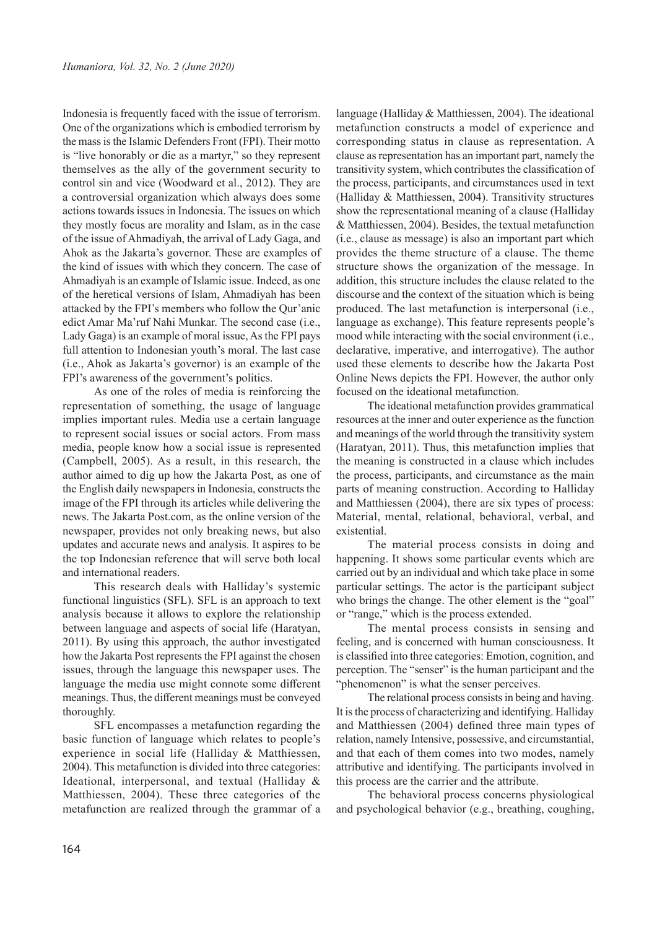Indonesia is frequently faced with the issue of terrorism. One of the organizations which is embodied terrorism by the mass is the Islamic Defenders Front (FPI). Their motto is "live honorably or die as a martyr," so they represent themselves as the ally of the government security to control sin and vice (Woodward et al., 2012). They are a controversial organization which always does some actions towards issues in Indonesia. The issues on which they mostly focus are morality and Islam, as in the case of the issue of Ahmadiyah, the arrival of Lady Gaga, and Ahok as the Jakarta's governor. These are examples of the kind of issues with which they concern. The case of Ahmadiyah is an example of Islamic issue. Indeed, as one of the heretical versions of Islam, Ahmadiyah has been attacked by the FPI's members who follow the Qur'anic edict Amar Ma'ruf Nahi Munkar. The second case (i.e., Lady Gaga) is an example of moral issue, As the FPI pays full attention to Indonesian youth's moral. The last case (i.e., Ahok as Jakarta's governor) is an example of the FPI's awareness of the government's politics.

As one of the roles of media is reinforcing the representation of something, the usage of language implies important rules. Media use a certain language to represent social issues or social actors. From mass media, people know how a social issue is represented (Campbell, 2005). As a result, in this research, the author aimed to dig up how the Jakarta Post, as one of the English daily newspapers in Indonesia, constructs the image of the FPI through its articles while delivering the news. The Jakarta Post.com, as the online version of the newspaper, provides not only breaking news, but also updates and accurate news and analysis. It aspires to be the top Indonesian reference that will serve both local and international readers.

This research deals with Halliday's systemic functional linguistics (SFL). SFL is an approach to text analysis because it allows to explore the relationship between language and aspects of social life (Haratyan, 2011). By using this approach, the author investigated how the Jakarta Post represents the FPI against the chosen issues, through the language this newspaper uses. The language the media use might connote some different meanings. Thus, the different meanings must be conveyed thoroughly.

SFL encompasses a metafunction regarding the basic function of language which relates to people's experience in social life (Halliday & Matthiessen, 2004). This metafunction is divided into three categories: Ideational, interpersonal, and textual (Halliday & Matthiessen, 2004). These three categories of the metafunction are realized through the grammar of a

language (Halliday & Matthiessen, 2004). The ideational metafunction constructs a model of experience and corresponding status in clause as representation. A clause as representation has an important part, namely the transitivity system, which contributes the classification of the process, participants, and circumstances used in text (Halliday & Matthiessen, 2004). Transitivity structures show the representational meaning of a clause (Halliday & Matthiessen, 2004). Besides, the textual metafunction (i.e., clause as message) is also an important part which provides the theme structure of a clause. The theme structure shows the organization of the message. In addition, this structure includes the clause related to the discourse and the context of the situation which is being produced. The last metafunction is interpersonal (i.e., language as exchange). This feature represents people's mood while interacting with the social environment (i.e., declarative, imperative, and interrogative). The author used these elements to describe how the Jakarta Post Online News depicts the FPI. However, the author only focused on the ideational metafunction.

The ideational metafunction provides grammatical resources at the inner and outer experience as the function and meanings of the world through the transitivity system (Haratyan, 2011). Thus, this metafunction implies that the meaning is constructed in a clause which includes the process, participants, and circumstance as the main parts of meaning construction. According to Halliday and Matthiessen (2004), there are six types of process: Material, mental, relational, behavioral, verbal, and existential.

The material process consists in doing and happening. It shows some particular events which are carried out by an individual and which take place in some particular settings. The actor is the participant subject who brings the change. The other element is the "goal" or "range," which is the process extended.

The mental process consists in sensing and feeling, and is concerned with human consciousness. It is classified into three categories: Emotion, cognition, and perception. The "senser" is the human participant and the "phenomenon" is what the senser perceives.

The relational process consists in being and having. It is the process of characterizing and identifying. Halliday and Matthiessen (2004) defined three main types of relation, namely Intensive, possessive, and circumstantial, and that each of them comes into two modes, namely attributive and identifying. The participants involved in this process are the carrier and the attribute.

The behavioral process concerns physiological and psychological behavior (e.g., breathing, coughing,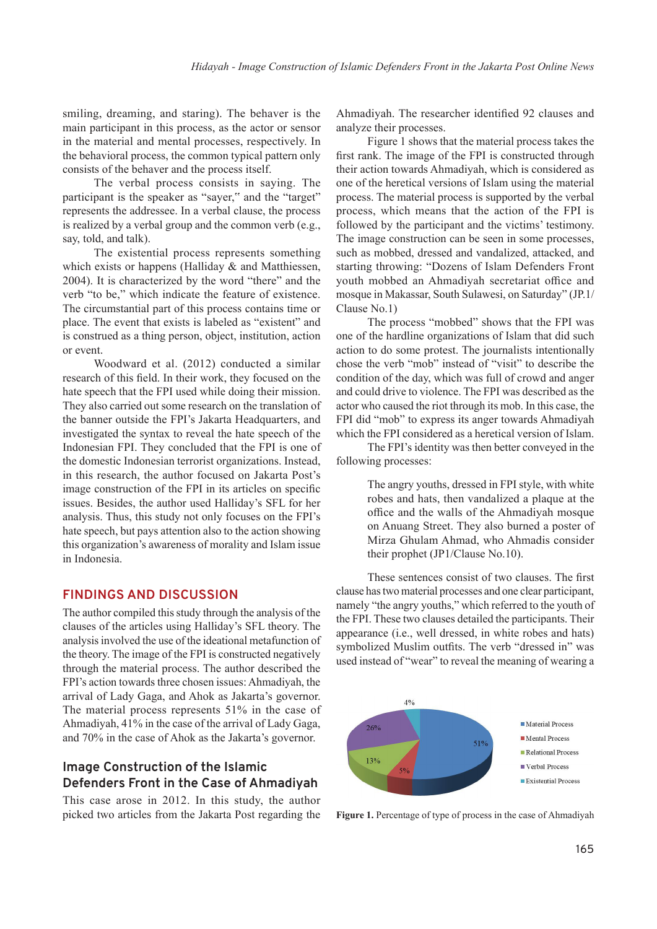smiling, dreaming, and staring). The behaver is the main participant in this process, as the actor or sensor in the material and mental processes, respectively. In the behavioral process, the common typical pattern only consists of the behaver and the process itself.

The verbal process consists in saying. The participant is the speaker as "sayer," and the "target" represents the addressee. In a verbal clause, the process is realized by a verbal group and the common verb (e.g., say, told, and talk).

The existential process represents something which exists or happens (Halliday & and Matthiessen, 2004). It is characterized by the word "there" and the verb "to be," which indicate the feature of existence. The circumstantial part of this process contains time or place. The event that exists is labeled as "existent" and is construed as a thing person, object, institution, action or event.

Woodward et al. (2012) conducted a similar research of this field. In their work, they focused on the hate speech that the FPI used while doing their mission. They also carried out some research on the translation of the banner outside the FPI's Jakarta Headquarters, and investigated the syntax to reveal the hate speech of the Indonesian FPI. They concluded that the FPI is one of the domestic Indonesian terrorist organizations. Instead, in this research, the author focused on Jakarta Post's image construction of the FPI in its articles on specific issues. Besides, the author used Halliday's SFL for her analysis. Thus, this study not only focuses on the FPI's hate speech, but pays attention also to the action showing this organization's awareness of morality and Islam issue in Indonesia.

#### **FINDINGS AND DISCUSSION**

The author compiled this study through the analysis of the clauses of the articles using Halliday's SFL theory. The analysis involved the use of the ideational metafunction of the theory. The image of the FPI is constructed negatively through the material process. The author described the FPI's action towards three chosen issues: Ahmadiyah, the arrival of Lady Gaga, and Ahok as Jakarta's governor. The material process represents 51% in the case of Ahmadiyah, 41% in the case of the arrival of Lady Gaga, and 70% in the case of Ahok as the Jakarta's governor.

# **Image Construction of the Islamic Defenders Front in the Case of Ahmadiyah**

This case arose in 2012. In this study, the author picked two articles from the Jakarta Post regarding the

Ahmadiyah. The researcher identified 92 clauses and analyze their processes.

Figure 1 shows that the material process takes the first rank. The image of the FPI is constructed through their action towards Ahmadiyah, which is considered as one of the heretical versions of Islam using the material process. The material process is supported by the verbal process, which means that the action of the FPI is followed by the participant and the victims' testimony. The image construction can be seen in some processes, such as mobbed, dressed and vandalized, attacked, and starting throwing: "Dozens of Islam Defenders Front youth mobbed an Ahmadiyah secretariat office and mosque in Makassar, South Sulawesi, on Saturday" (JP.1/ Clause No.1)

The process "mobbed" shows that the FPI was one of the hardline organizations of Islam that did such action to do some protest. The journalists intentionally chose the verb "mob" instead of "visit" to describe the condition of the day, which was full of crowd and anger and could drive to violence. The FPI was described as the actor who caused the riot through its mob. In this case, the FPI did "mob" to express its anger towards Ahmadiyah which the FPI considered as a heretical version of Islam.

The FPI's identity was then better conveyed in the following processes:

> The angry youths, dressed in FPI style, with white robes and hats, then vandalized a plaque at the office and the walls of the Ahmadiyah mosque on Anuang Street. They also burned a poster of Mirza Ghulam Ahmad, who Ahmadis consider their prophet (JP1/Clause No.10).

These sentences consist of two clauses. The first clause has two material processes and one clear participant, namely "the angry youths," which referred to the youth of the FPI. These two clauses detailed the participants. Their appearance (i.e., well dressed, in white robes and hats) symbolized Muslim outfits. The verb "dressed in" was used instead of "wear" to reveal the meaning of wearing a



**Figure 1.** Percentage of type of process in the case of Ahmadiyah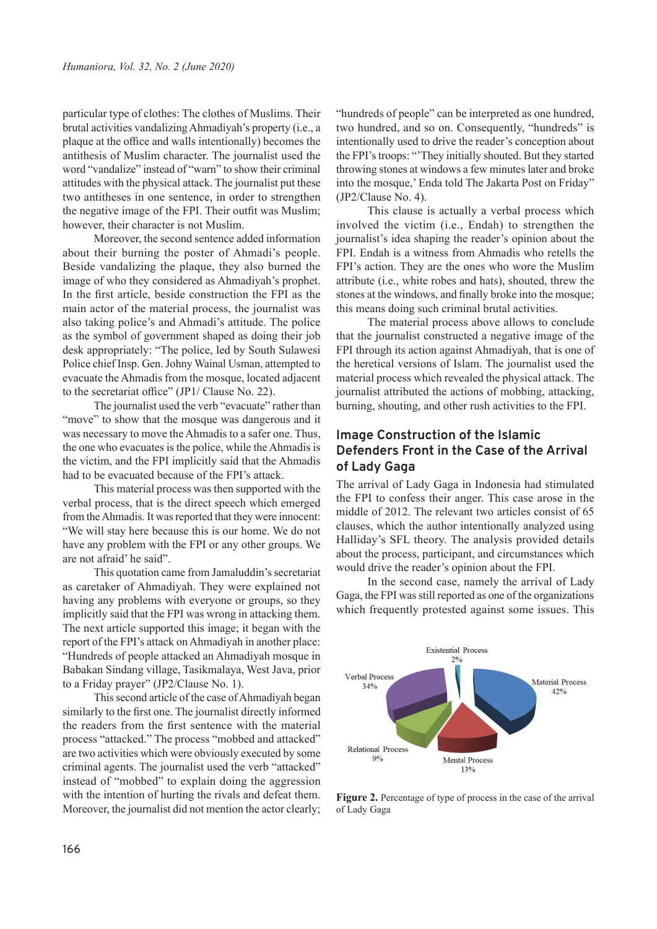particular type of clothes: The clothes of Muslims. Their brutal activities vandalizing Ahmadiyah's property (i.e., a plaque at the office and walls intentionally) becomes the antithesis of Muslim character. The journalist used the word "vandalize" instead of "warn" to show their criminal attitudes with the physical attack. The journalist put these two antitheses in one sentence, in order to strengthen the negative image of the FPI. Their outfit was Muslim; however, their character is not Muslim.

Moreover, the second sentence added information about their burning the poster of Ahmadi's people. Beside vandalizing the plaque, they also burned the image of who they considered as Ahmadiyah's prophet. In the first article, beside construction the FPI as the main actor of the material process, the journalist was also taking police's and Ahmadi's attitude. The police as the symbol of government shaped as doing their job desk appropriately: "The police, led by South Sulawesi Police chief Insp. Gen. Johny Wainal Usman, attempted to evacuate the Ahmadis from the mosque, located adjacent to the secretariat office" (JP1/ Clause No. 22).

The journalist used the verb "evacuate" rather than "move" to show that the mosque was dangerous and it was necessary to move the Ahmadis to a safer one. Thus, the one who evacuates is the police, while the Ahmadis is the victim, and the FPI implicitly said that the Ahmadis had to be evacuated because of the FPI's attack.

This material process was then supported with the verbal process, that is the direct speech which emerged from the Ahmadis. It was reported that they were innocent: "We will stay here because this is our home. We do not have any problem with the FPI or any other groups. We are not afraid' he said".

This quotation came from Jamaluddin's secretariat as caretaker of Ahmadiyah. They were explained not having any problems with everyone or groups, so they implicitly said that the FPI was wrong in attacking them. The next article supported this image; it began with the report of the FPI's attack on Ahmadiyah in another place: "Hundreds of people attacked an Ahmadiyah mosque in Babakan Sindang village, Tasikmalaya, West Java, prior to a Friday prayer" (JP2/Clause No. 1).

This second article of the case of Ahmadiyah began similarly to the first one. The journalist directly informed the readers from the first sentence with the material process "attacked." The process "mobbed and attacked" are two activities which were obviously executed by some criminal agents. The journalist used the verb "attacked" instead of "mobbed" to explain doing the aggression with the intention of hurting the rivals and defeat them. Moreover, the journalist did not mention the actor clearly; "hundreds of people" can be interpreted as one hundred, two hundred, and so on. Consequently, "hundreds" is intentionally used to drive the reader's conception about the FPI's troops: "'They initially shouted. But they started throwing stones at windows a few minutes later and broke into the mosque,' Enda told The Jakarta Post on Friday" (JP2/Clause No. 4).

This clause is actually a verbal process which involved the victim (i.e., Endah) to strengthen the journalist's idea shaping the reader's opinion about the FPI. Endah is a witness from Ahmadis who retells the FPI's action. They are the ones who wore the Muslim attribute (i.e., white robes and hats), shouted, threw the stones at the windows, and finally broke into the mosque; this means doing such criminal brutal activities.

The material process above allows to conclude that the journalist constructed a negative image of the FPI through its action against Ahmadiyah, that is one of the heretical versions of Islam. The journalist used the material process which revealed the physical attack. The journalist attributed the actions of mobbing, attacking, burning, shouting, and other rush activities to the FPI.

## **Image Construction of the Islamic Defenders Front in the Case of the Arrival of Lady Gaga**

The arrival of Lady Gaga in Indonesia had stimulated the FPI to confess their anger. This case arose in the middle of 2012. The relevant two articles consist of 65 clauses, which the author intentionally analyzed using Halliday's SFL theory. The analysis provided details about the process, participant, and circumstances which would drive the reader's opinion about the FPI.

In the second case, namely the arrival of Lady Gaga, the FPI was still reported as one of the organizations which frequently protested against some issues. This



Figure 2. Percentage of type of process in the case of the arrival of Lady Gaga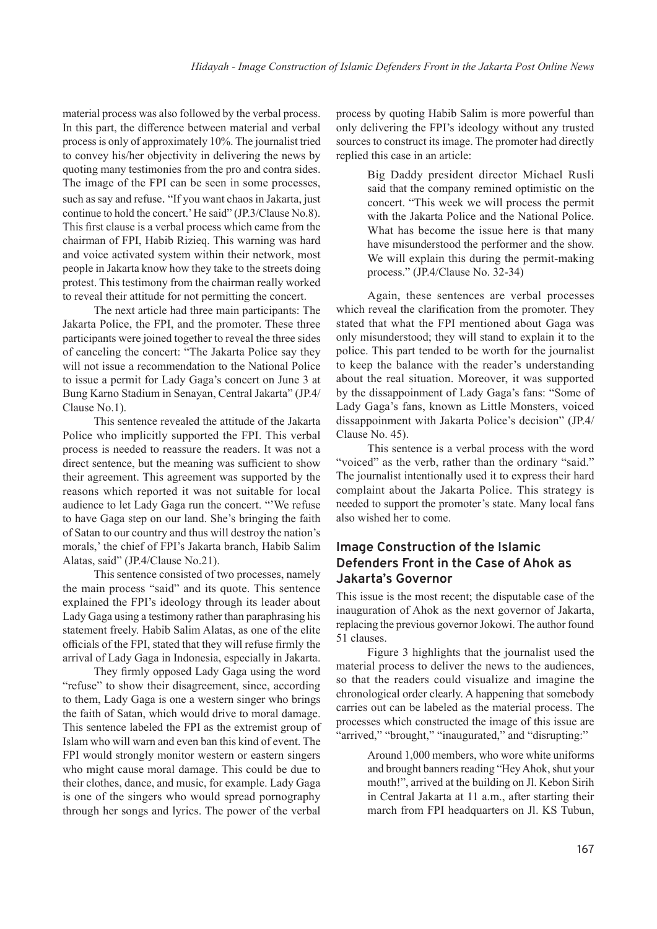material process was also followed by the verbal process. In this part, the difference between material and verbal process is only of approximately 10%. The journalist tried to convey his/her objectivity in delivering the news by quoting many testimonies from the pro and contra sides. The image of the FPI can be seen in some processes, such as say and refuse. "If you want chaos in Jakarta, just continue to hold the concert.' He said" (JP.3/Clause No.8). This first clause is a verbal process which came from the chairman of FPI, Habib Rizieq. This warning was hard and voice activated system within their network, most people in Jakarta know how they take to the streets doing protest. This testimony from the chairman really worked to reveal their attitude for not permitting the concert.

The next article had three main participants: The Jakarta Police, the FPI, and the promoter. These three participants were joined together to reveal the three sides of canceling the concert: "The Jakarta Police say they will not issue a recommendation to the National Police to issue a permit for Lady Gaga's concert on June 3 at Bung Karno Stadium in Senayan, Central Jakarta" (JP.4/ Clause No.1).

This sentence revealed the attitude of the Jakarta Police who implicitly supported the FPI. This verbal process is needed to reassure the readers. It was not a direct sentence, but the meaning was sufficient to show their agreement. This agreement was supported by the reasons which reported it was not suitable for local audience to let Lady Gaga run the concert. "'We refuse to have Gaga step on our land. She's bringing the faith of Satan to our country and thus will destroy the nation's morals,' the chief of FPI's Jakarta branch, Habib Salim Alatas, said" (JP.4/Clause No.21).

This sentence consisted of two processes, namely the main process "said" and its quote. This sentence explained the FPI's ideology through its leader about Lady Gaga using a testimony rather than paraphrasing his statement freely. Habib Salim Alatas, as one of the elite officials of the FPI, stated that they will refuse firmly the arrival of Lady Gaga in Indonesia, especially in Jakarta.

They firmly opposed Lady Gaga using the word "refuse" to show their disagreement, since, according to them, Lady Gaga is one a western singer who brings the faith of Satan, which would drive to moral damage. This sentence labeled the FPI as the extremist group of Islam who will warn and even ban this kind of event. The FPI would strongly monitor western or eastern singers who might cause moral damage. This could be due to their clothes, dance, and music, for example. Lady Gaga is one of the singers who would spread pornography through her songs and lyrics. The power of the verbal

process by quoting Habib Salim is more powerful than only delivering the FPI's ideology without any trusted sources to construct its image. The promoter had directly replied this case in an article:

> Big Daddy president director Michael Rusli said that the company remined optimistic on the concert. "This week we will process the permit with the Jakarta Police and the National Police. What has become the issue here is that many have misunderstood the performer and the show. We will explain this during the permit-making process." (JP.4/Clause No. 32-34)

Again, these sentences are verbal processes which reveal the clarification from the promoter. They stated that what the FPI mentioned about Gaga was only misunderstood; they will stand to explain it to the police. This part tended to be worth for the journalist to keep the balance with the reader's understanding about the real situation. Moreover, it was supported by the dissappoinment of Lady Gaga's fans: "Some of Lady Gaga's fans, known as Little Monsters, voiced dissappoinment with Jakarta Police's decision" (JP.4/ Clause No. 45).

This sentence is a verbal process with the word "voiced" as the verb, rather than the ordinary "said." The journalist intentionally used it to express their hard complaint about the Jakarta Police. This strategy is needed to support the promoter's state. Many local fans also wished her to come.

## **Image Construction of the Islamic Defenders Front in the Case of Ahok as Jakarta's Governor**

This issue is the most recent; the disputable case of the inauguration of Ahok as the next governor of Jakarta, replacing the previous governor Jokowi. The author found 51 clauses.

Figure 3 highlights that the journalist used the material process to deliver the news to the audiences, so that the readers could visualize and imagine the chronological order clearly. A happening that somebody carries out can be labeled as the material process. The processes which constructed the image of this issue are "arrived," "brought," "inaugurated," and "disrupting:"

> Around 1,000 members, who wore white uniforms and brought banners reading "Hey Ahok, shut your mouth!", arrived at the building on Jl. Kebon Sirih in Central Jakarta at 11 a.m., after starting their march from FPI headquarters on Jl. KS Tubun,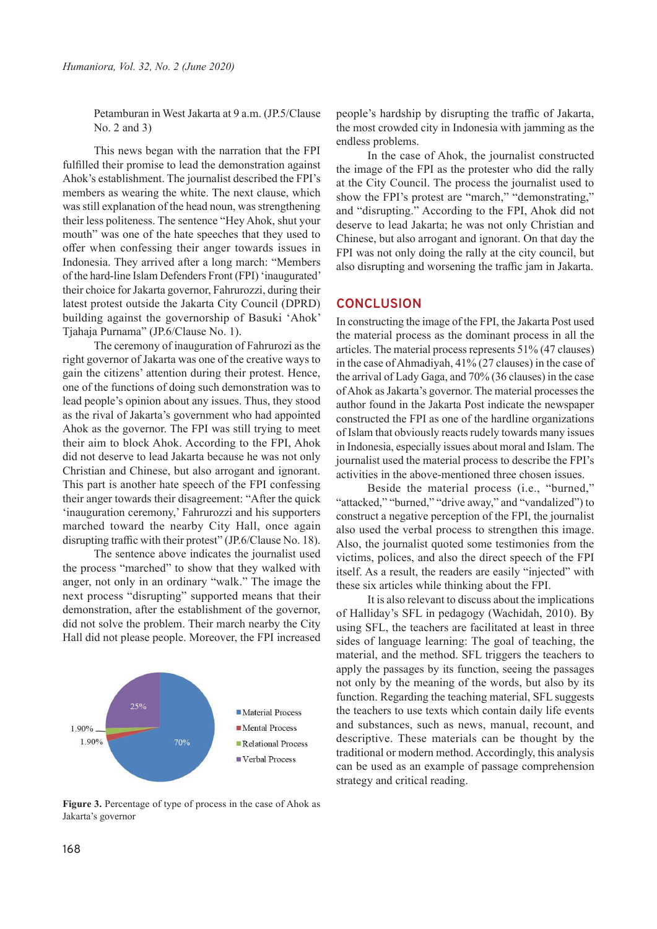Petamburan in West Jakarta at 9 a.m. (JP.5/Clause No. 2 and 3)

This news began with the narration that the FPI fulfilled their promise to lead the demonstration against Ahok's establishment. The journalist described the FPI's members as wearing the white. The next clause, which was still explanation of the head noun, was strengthening their less politeness. The sentence "Hey Ahok, shut your mouth" was one of the hate speeches that they used to offer when confessing their anger towards issues in Indonesia. They arrived after a long march: "Members of the hard-line Islam Defenders Front (FPI) 'inaugurated' their choice for Jakarta governor, Fahrurozzi, during their latest protest outside the Jakarta City Council (DPRD) building against the governorship of Basuki 'Ahok' Tjahaja Purnama" (JP.6/Clause No. 1).

The ceremony of inauguration of Fahrurozi as the right governor of Jakarta was one of the creative ways to gain the citizens' attention during their protest. Hence, one of the functions of doing such demonstration was to lead people's opinion about any issues. Thus, they stood as the rival of Jakarta's government who had appointed Ahok as the governor. The FPI was still trying to meet their aim to block Ahok. According to the FPI, Ahok did not deserve to lead Jakarta because he was not only Christian and Chinese, but also arrogant and ignorant. This part is another hate speech of the FPI confessing their anger towards their disagreement: "After the quick 'inauguration ceremony,' Fahrurozzi and his supporters marched toward the nearby City Hall, once again disrupting traffic with their protest" (JP.6/Clause No. 18).

The sentence above indicates the journalist used the process "marched" to show that they walked with anger, not only in an ordinary "walk." The image the next process "disrupting" supported means that their demonstration, after the establishment of the governor, did not solve the problem. Their march nearby the City Hall did not please people. Moreover, the FPI increased



**Figure 3.** Percentage of type of process in the case of Ahok as Jakarta's governor

people's hardship by disrupting the traffic of Jakarta, the most crowded city in Indonesia with jamming as the endless problems.

In the case of Ahok, the journalist constructed the image of the FPI as the protester who did the rally at the City Council. The process the journalist used to show the FPI's protest are "march," "demonstrating," and "disrupting." According to the FPI, Ahok did not deserve to lead Jakarta; he was not only Christian and Chinese, but also arrogant and ignorant. On that day the FPI was not only doing the rally at the city council, but also disrupting and worsening the traffic jam in Jakarta.

#### **CONCLUSION**

In constructing the image of the FPI, the Jakarta Post used the material process as the dominant process in all the articles. The material process represents 51% (47 clauses) in the case of Ahmadiyah, 41% (27 clauses) in the case of the arrival of Lady Gaga, and 70% (36 clauses) in the case of Ahok as Jakarta's governor. The material processes the author found in the Jakarta Post indicate the newspaper constructed the FPI as one of the hardline organizations of Islam that obviously reacts rudely towards many issues in Indonesia, especially issues about moral and Islam. The journalist used the material process to describe the FPI's activities in the above-mentioned three chosen issues.

Beside the material process (i.e., "burned," "attacked," "burned," "drive away," and "vandalized") to construct a negative perception of the FPI, the journalist also used the verbal process to strengthen this image. Also, the journalist quoted some testimonies from the victims, polices, and also the direct speech of the FPI itself. As a result, the readers are easily "injected" with these six articles while thinking about the FPI.

It is also relevant to discuss about the implications of Halliday's SFL in pedagogy (Wachidah, 2010). By using SFL, the teachers are facilitated at least in three sides of language learning: The goal of teaching, the material, and the method. SFL triggers the teachers to apply the passages by its function, seeing the passages not only by the meaning of the words, but also by its function. Regarding the teaching material, SFL suggests the teachers to use texts which contain daily life events and substances, such as news, manual, recount, and descriptive. These materials can be thought by the traditional or modern method. Accordingly, this analysis can be used as an example of passage comprehension strategy and critical reading.